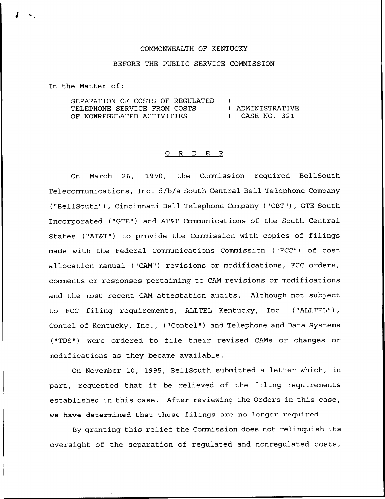## COMMONWEALTH OF KENTUCKY

## BEFORE THE PUBLIC SERVICE COMMISSION

In the Matter of:

SEPARATION OF COSTS OF REGULATED )<br>TELEPHONE SERVICE FROM COSTS ) ADMINISTRATIVE TELEPHONE SERVICE FROM COSTS  $\qquad$ ) ADMINISTRATIV<br>OF NONREGULATED ACTIVITIES  $\qquad$ ) CASE NO. 321 OF NONREGULATED ACTIVITIES  $)$ 

## 0 R <sup>D</sup> E R

On March 26, 1990, the Commission required BellSouth Telecommunications, Inc. d/b/a South Central Bell Telephone Company ("BellSouth"), Cincinnati Bell Telephone Company ("CBT"), GTE South Incorporated ("GTE") and AT&T Communications of the South Central States ("AT6T") to provide the Commission with copies of filings made with the Federal Communications Commission ("FCC") of cost allocation manual ("CAM") revisions or modifications, FCC orders, comments or responses pertaining to CAN revisions or modifications and the most recent CAN attestation audits. Although not subject to FCC filing requirements, ALLTEL Kentucky, Inc. ("ALLTEL"), Contel of Kentucky, Inc., ("Contel") and Telephone and Data Systems ("TDS") were ordered to file their revised CAMs or changes or modifications as they became available.

On November 10, 1995, BellSouth submitted a letter which, in part, requested that it be relieved of the filing requirements established in this case. After reviewing the Orders in this case, we have determined that these filings are no longer required.

By granting this relief the Commission does not relinquish its oversight of the separation of regulated and nonregulated costs,